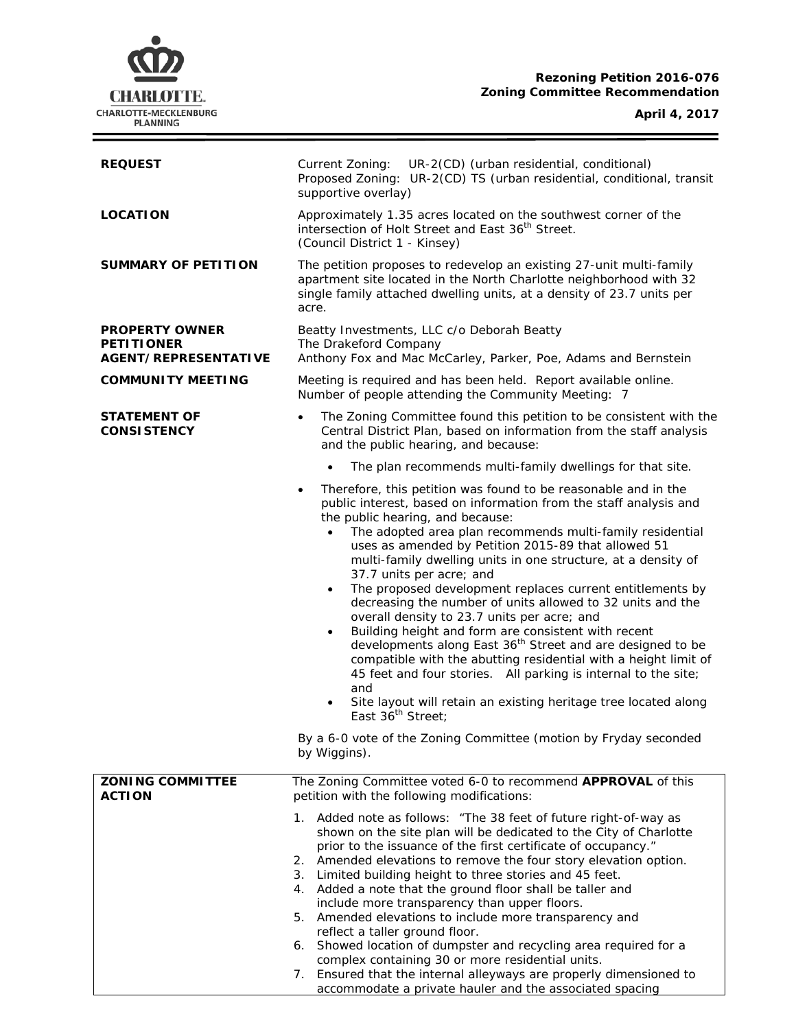## **Rezoning Petition 2016-076 Zoning Committee Recommendation**



ł,

| <b>REQUEST</b>                                                            | Current Zoning:<br>UR-2(CD) (urban residential, conditional)<br>Proposed Zoning: UR-2(CD) TS (urban residential, conditional, transit<br>supportive overlay)                                                                                                                                                                                                                                                                                                                                                                                                                                                                                                                                                                                                                                                                                                                                                                                                                                                                                                                                |  |  |
|---------------------------------------------------------------------------|---------------------------------------------------------------------------------------------------------------------------------------------------------------------------------------------------------------------------------------------------------------------------------------------------------------------------------------------------------------------------------------------------------------------------------------------------------------------------------------------------------------------------------------------------------------------------------------------------------------------------------------------------------------------------------------------------------------------------------------------------------------------------------------------------------------------------------------------------------------------------------------------------------------------------------------------------------------------------------------------------------------------------------------------------------------------------------------------|--|--|
| <b>LOCATION</b>                                                           | Approximately 1.35 acres located on the southwest corner of the<br>intersection of Holt Street and East 36 <sup>th</sup> Street.<br>(Council District 1 - Kinsey)                                                                                                                                                                                                                                                                                                                                                                                                                                                                                                                                                                                                                                                                                                                                                                                                                                                                                                                           |  |  |
| <b>SUMMARY OF PETITION</b>                                                | The petition proposes to redevelop an existing 27-unit multi-family<br>apartment site located in the North Charlotte neighborhood with 32<br>single family attached dwelling units, at a density of 23.7 units per<br>acre.                                                                                                                                                                                                                                                                                                                                                                                                                                                                                                                                                                                                                                                                                                                                                                                                                                                                 |  |  |
| <b>PROPERTY OWNER</b><br><b>PETITIONER</b><br><b>AGENT/REPRESENTATIVE</b> | Beatty Investments, LLC c/o Deborah Beatty<br>The Drakeford Company<br>Anthony Fox and Mac McCarley, Parker, Poe, Adams and Bernstein                                                                                                                                                                                                                                                                                                                                                                                                                                                                                                                                                                                                                                                                                                                                                                                                                                                                                                                                                       |  |  |
| <b>COMMUNITY MEETING</b>                                                  | Meeting is required and has been held. Report available online.<br>Number of people attending the Community Meeting: 7                                                                                                                                                                                                                                                                                                                                                                                                                                                                                                                                                                                                                                                                                                                                                                                                                                                                                                                                                                      |  |  |
| <b>STATEMENT OF</b><br><b>CONSISTENCY</b>                                 | The Zoning Committee found this petition to be consistent with the<br>Central District Plan, based on information from the staff analysis<br>and the public hearing, and because:                                                                                                                                                                                                                                                                                                                                                                                                                                                                                                                                                                                                                                                                                                                                                                                                                                                                                                           |  |  |
|                                                                           | The plan recommends multi-family dwellings for that site.<br>$\bullet$                                                                                                                                                                                                                                                                                                                                                                                                                                                                                                                                                                                                                                                                                                                                                                                                                                                                                                                                                                                                                      |  |  |
|                                                                           | Therefore, this petition was found to be reasonable and in the<br>public interest, based on information from the staff analysis and<br>the public hearing, and because:<br>The adopted area plan recommends multi-family residential<br>$\bullet$<br>uses as amended by Petition 2015-89 that allowed 51<br>multi-family dwelling units in one structure, at a density of<br>37.7 units per acre; and<br>The proposed development replaces current entitlements by<br>$\bullet$<br>decreasing the number of units allowed to 32 units and the<br>overall density to 23.7 units per acre; and<br>Building height and form are consistent with recent<br>$\bullet$<br>developments along East 36 <sup>th</sup> Street and are designed to be<br>compatible with the abutting residential with a height limit of<br>45 feet and four stories. All parking is internal to the site;<br>and<br>Site layout will retain an existing heritage tree located along<br>$\bullet$<br>East 36 <sup>th</sup> Street;<br>By a 6-0 vote of the Zoning Committee (motion by Fryday seconded<br>by Wiggins). |  |  |
| <b>ZONING COMMITTEE</b><br><b>ACTION</b>                                  | The Zoning Committee voted 6-0 to recommend APPROVAL of this<br>petition with the following modifications:                                                                                                                                                                                                                                                                                                                                                                                                                                                                                                                                                                                                                                                                                                                                                                                                                                                                                                                                                                                  |  |  |
|                                                                           | 1. Added note as follows: "The 38 feet of future right-of-way as<br>shown on the site plan will be dedicated to the City of Charlotte<br>prior to the issuance of the first certificate of occupancy."<br>2. Amended elevations to remove the four story elevation option.<br>3. Limited building height to three stories and 45 feet.<br>4. Added a note that the ground floor shall be taller and<br>include more transparency than upper floors.<br>Amended elevations to include more transparency and<br>5.<br>reflect a taller ground floor.<br>6. Showed location of dumpster and recycling area required for a<br>complex containing 30 or more residential units.<br>7. Ensured that the internal alleyways are properly dimensioned to<br>accommodate a private hauler and the associated spacing                                                                                                                                                                                                                                                                                 |  |  |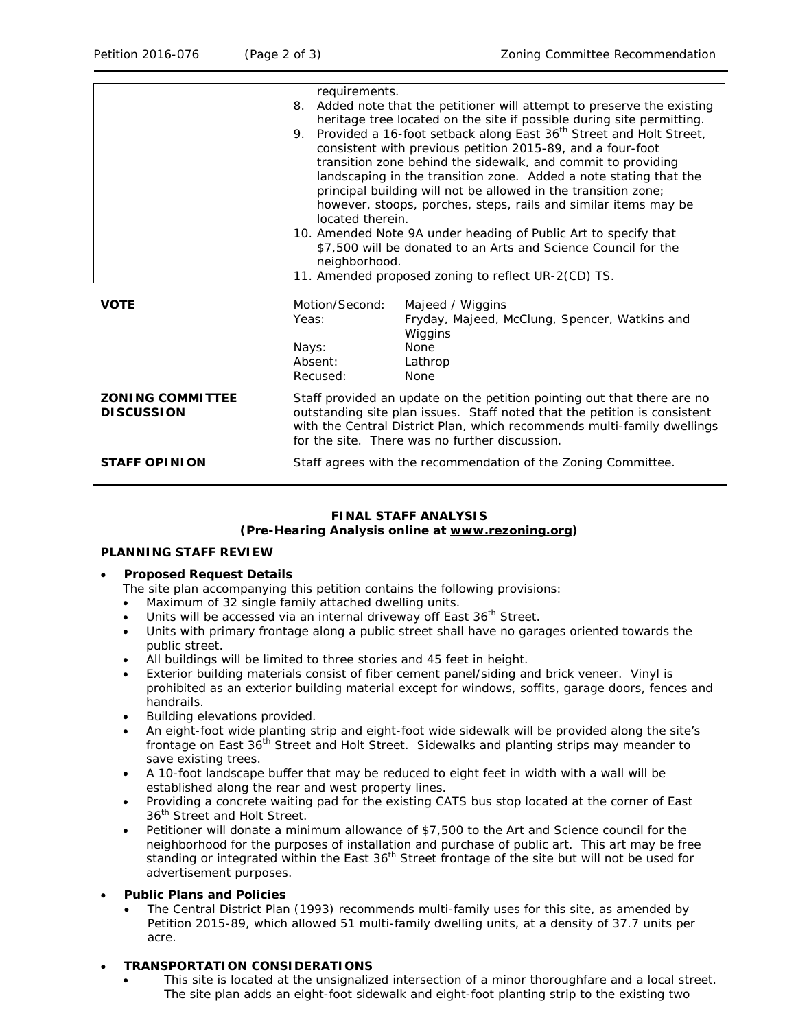|                                                             | 8.                                                      | requirements.<br>Added note that the petitioner will attempt to preserve the existing<br>heritage tree located on the site if possible during site permitting.<br>9. Provided a 16-foot setback along East 36 <sup>th</sup> Street and Holt Street,<br>consistent with previous petition 2015-89, and a four-foot<br>transition zone behind the sidewalk, and commit to providing<br>landscaping in the transition zone. Added a note stating that the<br>principal building will not be allowed in the transition zone;<br>however, stoops, porches, steps, rails and similar items may be<br>located therein.<br>10. Amended Note 9A under heading of Public Art to specify that<br>\$7,500 will be donated to an Arts and Science Council for the<br>neighborhood.<br>11. Amended proposed zoning to reflect UR-2(CD) TS. |  |  |
|-------------------------------------------------------------|---------------------------------------------------------|------------------------------------------------------------------------------------------------------------------------------------------------------------------------------------------------------------------------------------------------------------------------------------------------------------------------------------------------------------------------------------------------------------------------------------------------------------------------------------------------------------------------------------------------------------------------------------------------------------------------------------------------------------------------------------------------------------------------------------------------------------------------------------------------------------------------------|--|--|
| <b>VOTE</b><br><b>ZONING COMMITTEE</b><br><b>DISCUSSION</b> | Motion/Second:<br>Yeas:<br>Nays:<br>Absent:<br>Recused: | Majeed / Wiggins<br>Fryday, Majeed, McClung, Spencer, Watkins and<br>Wiggins<br>None<br>Lathrop<br>None<br>Staff provided an update on the petition pointing out that there are no<br>outstanding site plan issues. Staff noted that the petition is consistent<br>with the Central District Plan, which recommends multi-family dwellings                                                                                                                                                                                                                                                                                                                                                                                                                                                                                   |  |  |
| <b>STAFF OPINION</b>                                        |                                                         | for the site. There was no further discussion.<br>Staff agrees with the recommendation of the Zoning Committee.                                                                                                                                                                                                                                                                                                                                                                                                                                                                                                                                                                                                                                                                                                              |  |  |

# **FINAL STAFF ANALYSIS**

## **(Pre-Hearing Analysis online at [www.rezoning.org\)](http://www.rezoning.org/)**

### **PLANNING STAFF REVIEW**

### • **Proposed Request Details**

The site plan accompanying this petition contains the following provisions:

- Maximum of 32 single family attached dwelling units.
- Units will be accessed via an internal driveway off East 36<sup>th</sup> Street.
- Units with primary frontage along a public street shall have no garages oriented towards the public street.
- All buildings will be limited to three stories and 45 feet in height.
- Exterior building materials consist of fiber cement panel/siding and brick veneer. Vinyl is prohibited as an exterior building material except for windows, soffits, garage doors, fences and handrails.
- Building elevations provided.
- An eight-foot wide planting strip and eight-foot wide sidewalk will be provided along the site's frontage on East  $36<sup>th</sup>$  Street and Holt Street. Sidewalks and planting strips may meander to save existing trees.
- A 10-foot landscape buffer that may be reduced to eight feet in width with a wall will be established along the rear and west property lines.
- Providing a concrete waiting pad for the existing CATS bus stop located at the corner of East 36<sup>th</sup> Street and Holt Street.
- Petitioner will donate a minimum allowance of \$7,500 to the Art and Science council for the neighborhood for the purposes of installation and purchase of public art. This art may be free standing or integrated within the East 36<sup>th</sup> Street frontage of the site but will not be used for advertisement purposes.
- **Public Plans and Policies**
	- The *Central District Plan* (1993) recommends multi-family uses for this site, as amended by Petition 2015-89, which allowed 51 multi-family dwelling units, at a density of 37.7 units per acre.

### • **TRANSPORTATION CONSIDERATIONS**

This site is located at the unsignalized intersection of a minor thoroughfare and a local street. The site plan adds an eight-foot sidewalk and eight-foot planting strip to the existing two